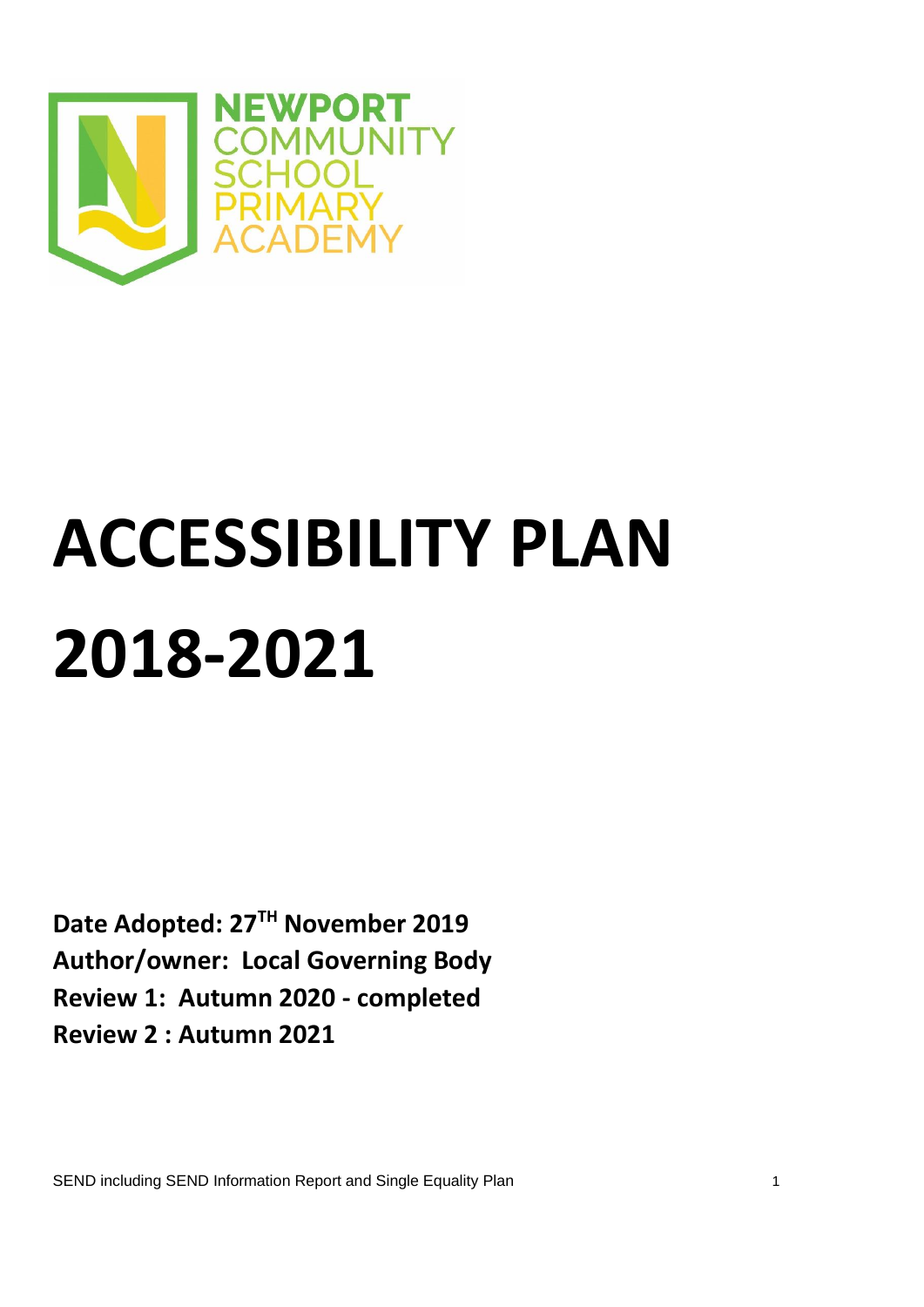

# **ACCESSIBILITY PLAN 2018-2021**

**Date Adopted: 27TH November 2019 Author/owner: Local Governing Body Review 1: Autumn 2020 - completed Review 2 : Autumn 2021**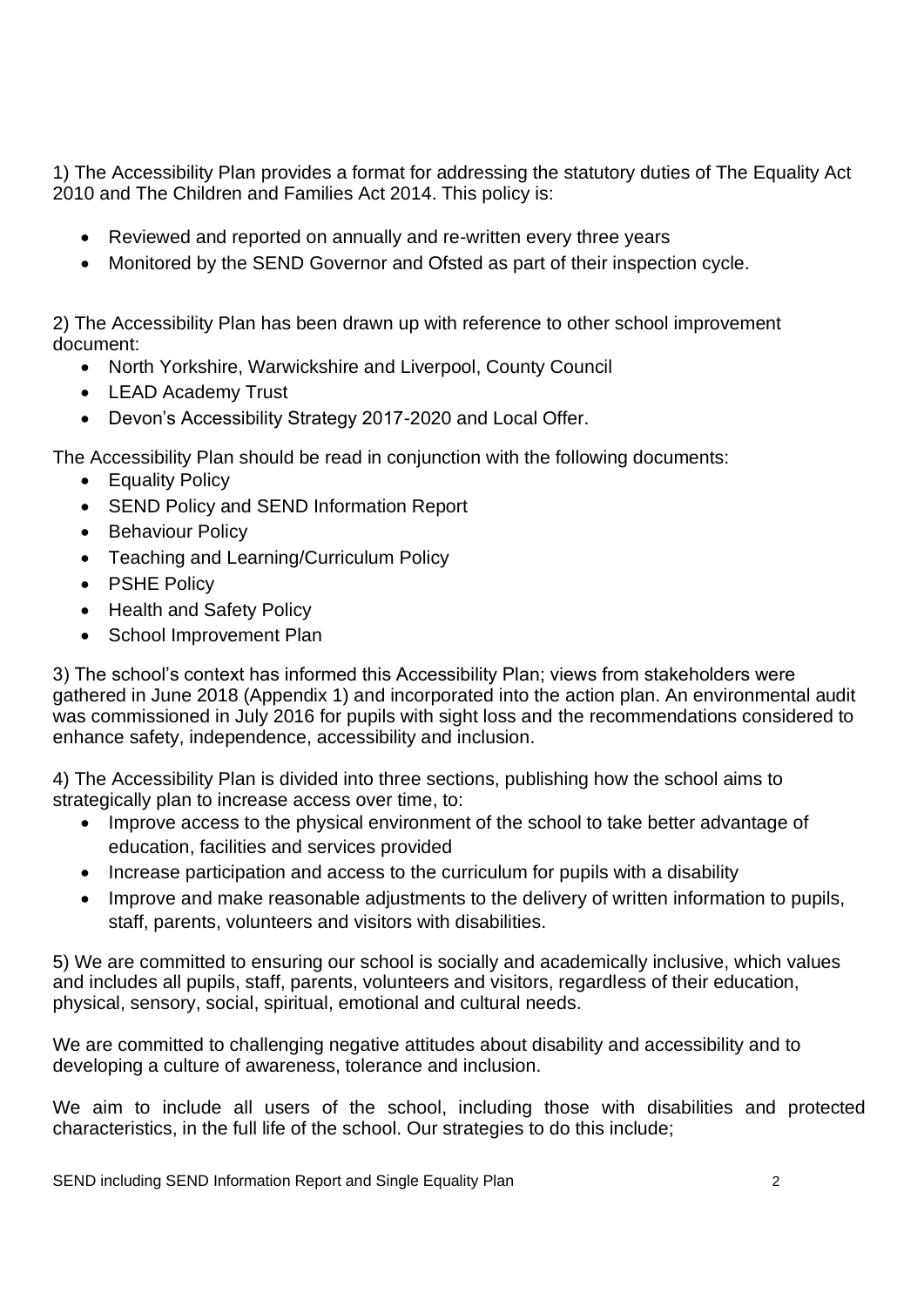1) The Accessibility Plan provides a format for addressing the statutory duties of The Equality Act 2010 and The Children and Families Act 2014. This policy is:

- Reviewed and reported on annually and re-written every three years
- Monitored by the SEND Governor and Ofsted as part of their inspection cycle.

2) The Accessibility Plan has been drawn up with reference to other school improvement document:

- North Yorkshire, Warwickshire and Liverpool, County Council
- LEAD Academy Trust
- Devon's Accessibility Strategy 2017-2020 and Local Offer.

The Accessibility Plan should be read in conjunction with the following documents:

- Equality Policy
- SEND Policy and SEND Information Report
- Behaviour Policy
- Teaching and Learning/Curriculum Policy
- PSHE Policy
- Health and Safety Policy
- School Improvement Plan

3) The school's context has informed this Accessibility Plan; views from stakeholders were gathered in June 2018 (Appendix 1) and incorporated into the action plan. An environmental audit was commissioned in July 2016 for pupils with sight loss and the recommendations considered to enhance safety, independence, accessibility and inclusion.

4) The Accessibility Plan is divided into three sections, publishing how the school aims to strategically plan to increase access over time, to:

- Improve access to the physical environment of the school to take better advantage of education, facilities and services provided
- Increase participation and access to the curriculum for pupils with a disability
- Improve and make reasonable adjustments to the delivery of written information to pupils, staff, parents, volunteers and visitors with disabilities.

5) We are committed to ensuring our school is socially and academically inclusive, which values and includes all pupils, staff, parents, volunteers and visitors, regardless of their education, physical, sensory, social, spiritual, emotional and cultural needs.

We are committed to challenging negative attitudes about disability and accessibility and to developing a culture of awareness, tolerance and inclusion.

We aim to include all users of the school, including those with disabilities and protected characteristics, in the full life of the school. Our strategies to do this include;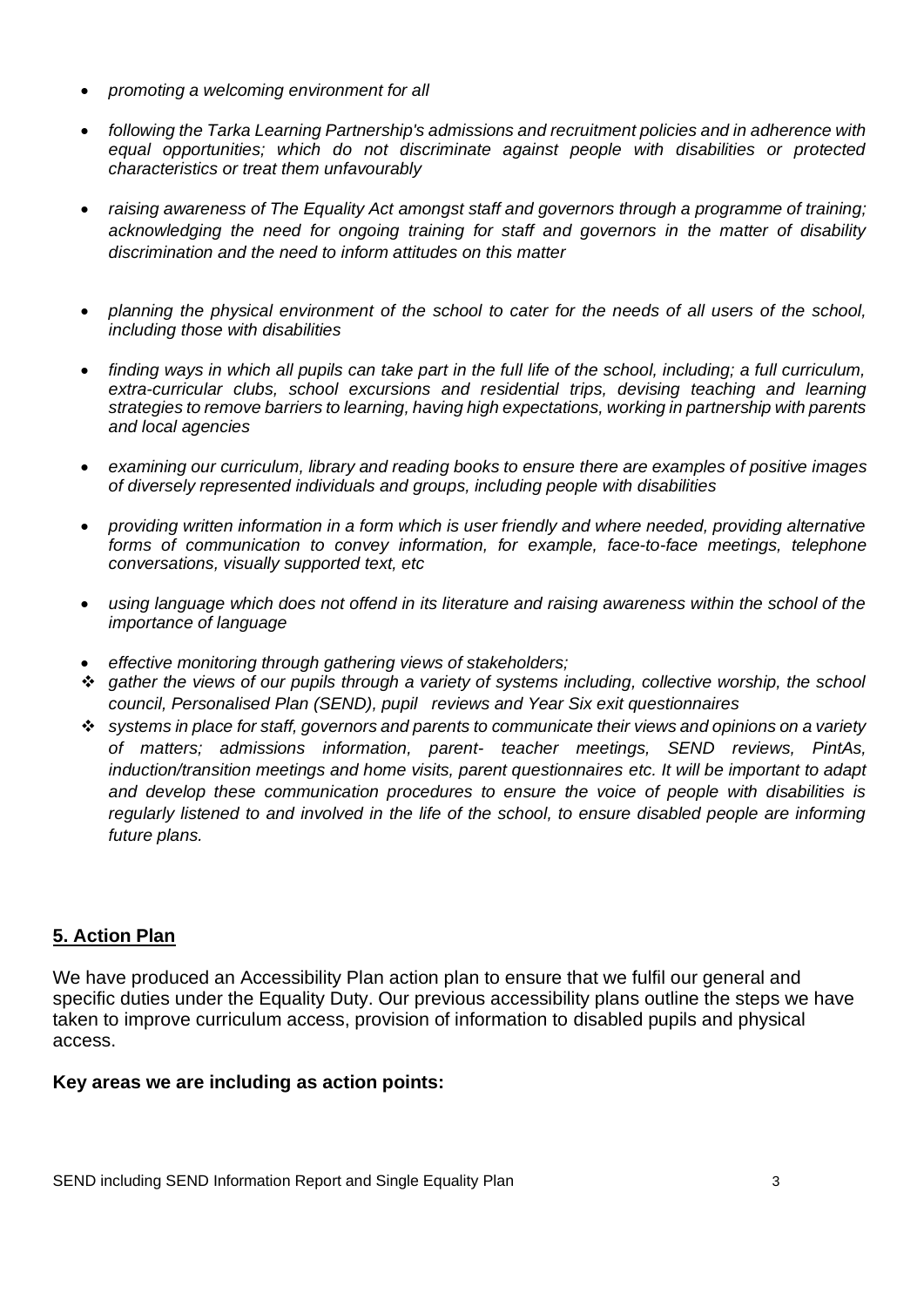- *promoting a welcoming environment for all*
- *following the Tarka Learning Partnership's admissions and recruitment policies and in adherence with equal opportunities; which do not discriminate against people with disabilities or protected characteristics or treat them unfavourably*
- *raising awareness of The Equality Act amongst staff and governors through a programme of training; acknowledging the need for ongoing training for staff and governors in the matter of disability discrimination and the need to inform attitudes on this matter*
- *planning the physical environment of the school to cater for the needs of all users of the school, including those with disabilities*
- *finding ways in which all pupils can take part in the full life of the school, including; a full curriculum, extra-curricular clubs, school excursions and residential trips, devising teaching and learning strategies to remove barriers to learning, having high expectations, working in partnership with parents and local agencies*
- *examining our curriculum, library and reading books to ensure there are examples of positive images of diversely represented individuals and groups, including people with disabilities*
- *providing written information in a form which is user friendly and where needed, providing alternative forms of communication to convey information, for example, face-to-face meetings, telephone conversations, visually supported text, etc*
- *using language which does not offend in its literature and raising awareness within the school of the importance of language*
- *effective monitoring through gathering views of stakeholders;*
- ❖ *gather the views of our pupils through a variety of systems including, collective worship, the school council, Personalised Plan (SEND), pupil reviews and Year Six exit questionnaires*
- ❖ *systems in place for staff, governors and parents to communicate their views and opinions on a variety of matters; admissions information, parent- teacher meetings, SEND reviews, PintAs, induction/transition meetings and home visits, parent questionnaires etc. It will be important to adapt and develop these communication procedures to ensure the voice of people with disabilities is regularly listened to and involved in the life of the school, to ensure disabled people are informing future plans.*

## **5. Action Plan**

We have produced an Accessibility Plan action plan to ensure that we fulfil our general and specific duties under the Equality Duty. Our previous accessibility plans outline the steps we have taken to improve curriculum access, provision of information to disabled pupils and physical access.

### **Key areas we are including as action points:**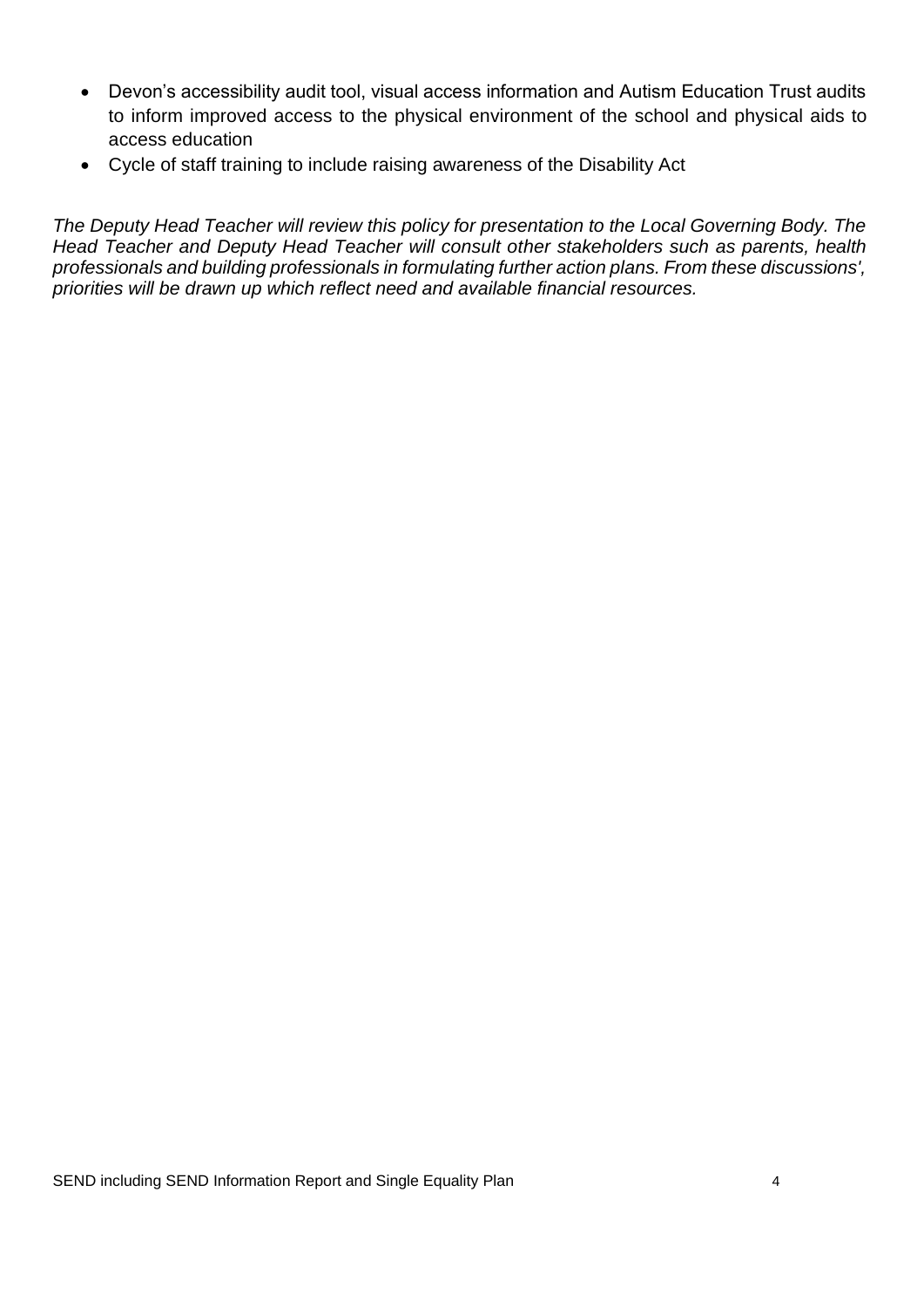- Devon's accessibility audit tool, visual access information and Autism Education Trust audits to inform improved access to the physical environment of the school and physical aids to access education
- Cycle of staff training to include raising awareness of the Disability Act

*The Deputy Head Teacher will review this policy for presentation to the Local Governing Body. The Head Teacher and Deputy Head Teacher will consult other stakeholders such as parents, health professionals and building professionals in formulating further action plans. From these discussions', priorities will be drawn up which reflect need and available financial resources.*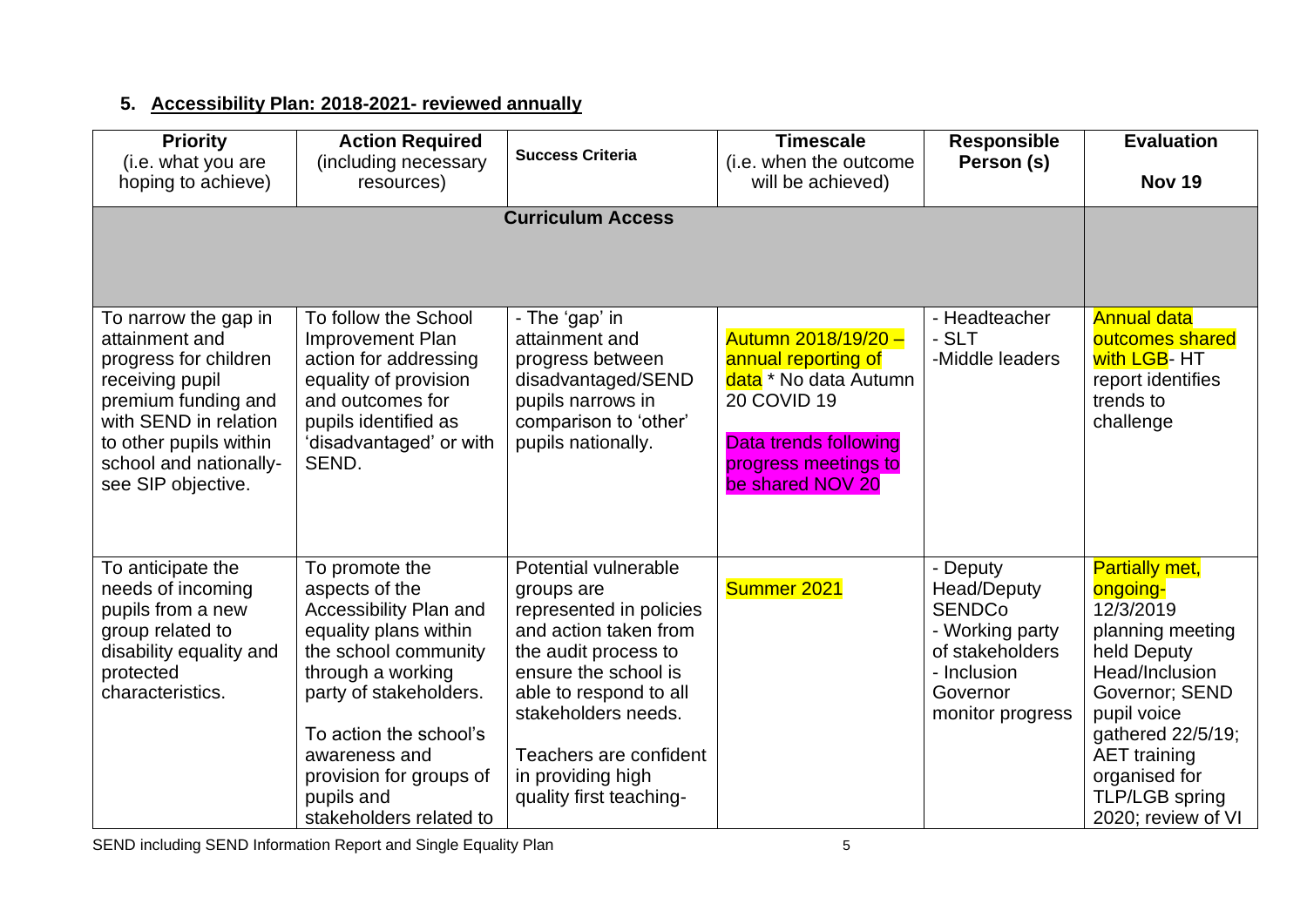# **5. Accessibility Plan: 2018-2021- reviewed annually**

| <b>Priority</b><br>(i.e. what you are<br>hoping to achieve)                                                                                                                                                  | <b>Action Required</b><br>(including necessary<br>resources)                                                                                                                                                                                                              | <b>Success Criteria</b>                                                                                                                                                                                                                                           | <b>Timescale</b><br>(i.e. when the outcome<br>will be achieved)                                                                                                | <b>Responsible</b><br>Person (s)                                                                                                     | <b>Evaluation</b><br><b>Nov 19</b>                                                                                                                                                                                                        |
|--------------------------------------------------------------------------------------------------------------------------------------------------------------------------------------------------------------|---------------------------------------------------------------------------------------------------------------------------------------------------------------------------------------------------------------------------------------------------------------------------|-------------------------------------------------------------------------------------------------------------------------------------------------------------------------------------------------------------------------------------------------------------------|----------------------------------------------------------------------------------------------------------------------------------------------------------------|--------------------------------------------------------------------------------------------------------------------------------------|-------------------------------------------------------------------------------------------------------------------------------------------------------------------------------------------------------------------------------------------|
|                                                                                                                                                                                                              |                                                                                                                                                                                                                                                                           |                                                                                                                                                                                                                                                                   |                                                                                                                                                                |                                                                                                                                      |                                                                                                                                                                                                                                           |
| To narrow the gap in<br>attainment and<br>progress for children<br>receiving pupil<br>premium funding and<br>with SEND in relation<br>to other pupils within<br>school and nationally-<br>see SIP objective. | To follow the School<br><b>Improvement Plan</b><br>action for addressing<br>equality of provision<br>and outcomes for<br>pupils identified as<br>'disadvantaged' or with<br>SEND.                                                                                         | - The 'gap' in<br>attainment and<br>progress between<br>disadvantaged/SEND<br>pupils narrows in<br>comparison to 'other'<br>pupils nationally.                                                                                                                    | Autumn 2018/19/20 -<br>annual reporting of<br>data * No data Autumn<br><b>20 COVID 19</b><br>Data trends following<br>progress meetings to<br>be shared NOV 20 | - Headteacher<br>- SLT<br>-Middle leaders                                                                                            | <b>Annual data</b><br>outcomes shared<br>with LGB- HT<br>report identifies<br>trends to<br>challenge                                                                                                                                      |
| To anticipate the<br>needs of incoming<br>pupils from a new<br>group related to<br>disability equality and<br>protected<br>characteristics.                                                                  | To promote the<br>aspects of the<br>Accessibility Plan and<br>equality plans within<br>the school community<br>through a working<br>party of stakeholders.<br>To action the school's<br>awareness and<br>provision for groups of<br>pupils and<br>stakeholders related to | Potential vulnerable<br>groups are<br>represented in policies<br>and action taken from<br>the audit process to<br>ensure the school is<br>able to respond to all<br>stakeholders needs.<br>Teachers are confident<br>in providing high<br>quality first teaching- | Summer 2021                                                                                                                                                    | - Deputy<br><b>Head/Deputy</b><br><b>SENDCo</b><br>- Working party<br>of stakeholders<br>- Inclusion<br>Governor<br>monitor progress | <b>Partially met,</b><br>ongoing-<br>12/3/2019<br>planning meeting<br>held Deputy<br>Head/Inclusion<br>Governor; SEND<br>pupil voice<br>gathered 22/5/19;<br><b>AET</b> training<br>organised for<br>TLP/LGB spring<br>2020; review of VI |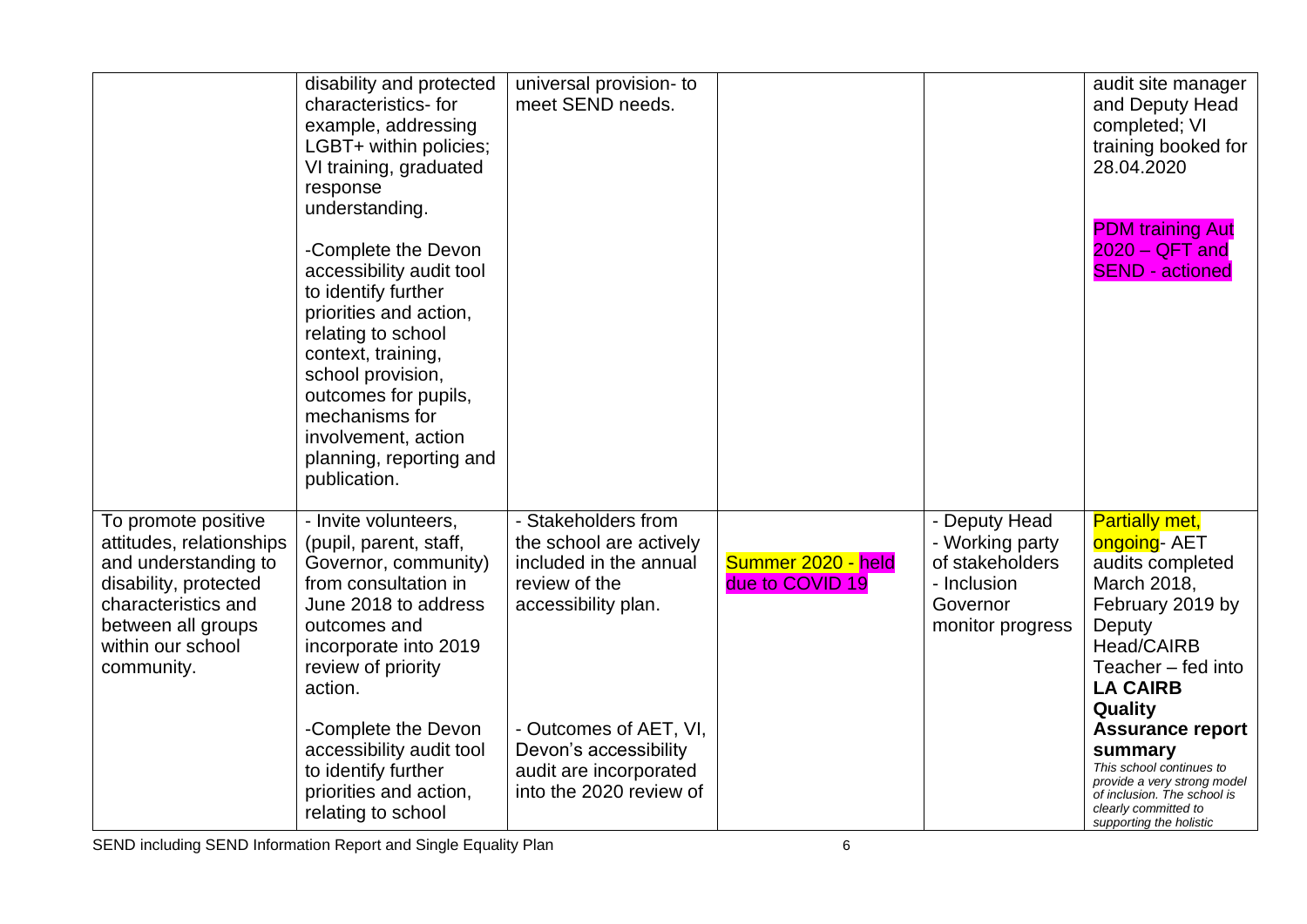|                                                                                                                                                                                  | disability and protected<br>characteristics-for<br>example, addressing<br>LGBT+ within policies;<br>VI training, graduated<br>response<br>understanding.<br>-Complete the Devon<br>accessibility audit tool<br>to identify further<br>priorities and action,<br>relating to school<br>context, training,<br>school provision,<br>outcomes for pupils,<br>mechanisms for<br>involvement, action<br>planning, reporting and<br>publication. | universal provision- to<br>meet SEND needs.                                                                                                                                                                              |                                       |                                                                                                    | audit site manager<br>and Deputy Head<br>completed; VI<br>training booked for<br>28.04.2020<br><b>PDM</b> training Aut<br>$2020 - QFT$ and<br><b>SEND - actioned</b>                                                                                                                                                                                               |
|----------------------------------------------------------------------------------------------------------------------------------------------------------------------------------|-------------------------------------------------------------------------------------------------------------------------------------------------------------------------------------------------------------------------------------------------------------------------------------------------------------------------------------------------------------------------------------------------------------------------------------------|--------------------------------------------------------------------------------------------------------------------------------------------------------------------------------------------------------------------------|---------------------------------------|----------------------------------------------------------------------------------------------------|--------------------------------------------------------------------------------------------------------------------------------------------------------------------------------------------------------------------------------------------------------------------------------------------------------------------------------------------------------------------|
| To promote positive<br>attitudes, relationships<br>and understanding to<br>disability, protected<br>characteristics and<br>between all groups<br>within our school<br>community. | - Invite volunteers,<br>(pupil, parent, staff,<br>Governor, community)<br>from consultation in<br>June 2018 to address<br>outcomes and<br>incorporate into 2019<br>review of priority<br>action.<br>-Complete the Devon<br>accessibility audit tool<br>to identify further<br>priorities and action,<br>relating to school                                                                                                                | - Stakeholders from<br>the school are actively<br>included in the annual<br>review of the<br>accessibility plan.<br>- Outcomes of AET, VI,<br>Devon's accessibility<br>audit are incorporated<br>into the 2020 review of | Summer 2020 - held<br>due to COVID 19 | - Deputy Head<br>- Working party<br>of stakeholders<br>- Inclusion<br>Governor<br>monitor progress | <b>Partially met,</b><br>ongoing- AET<br>audits completed<br>March 2018,<br>February 2019 by<br>Deputy<br>Head/CAIRB<br>Teacher - fed into<br><b>LA CAIRB</b><br><b>Quality</b><br><b>Assurance report</b><br>summary<br>This school continues to<br>provide a very strong model<br>of inclusion. The school is<br>clearly committed to<br>supporting the holistic |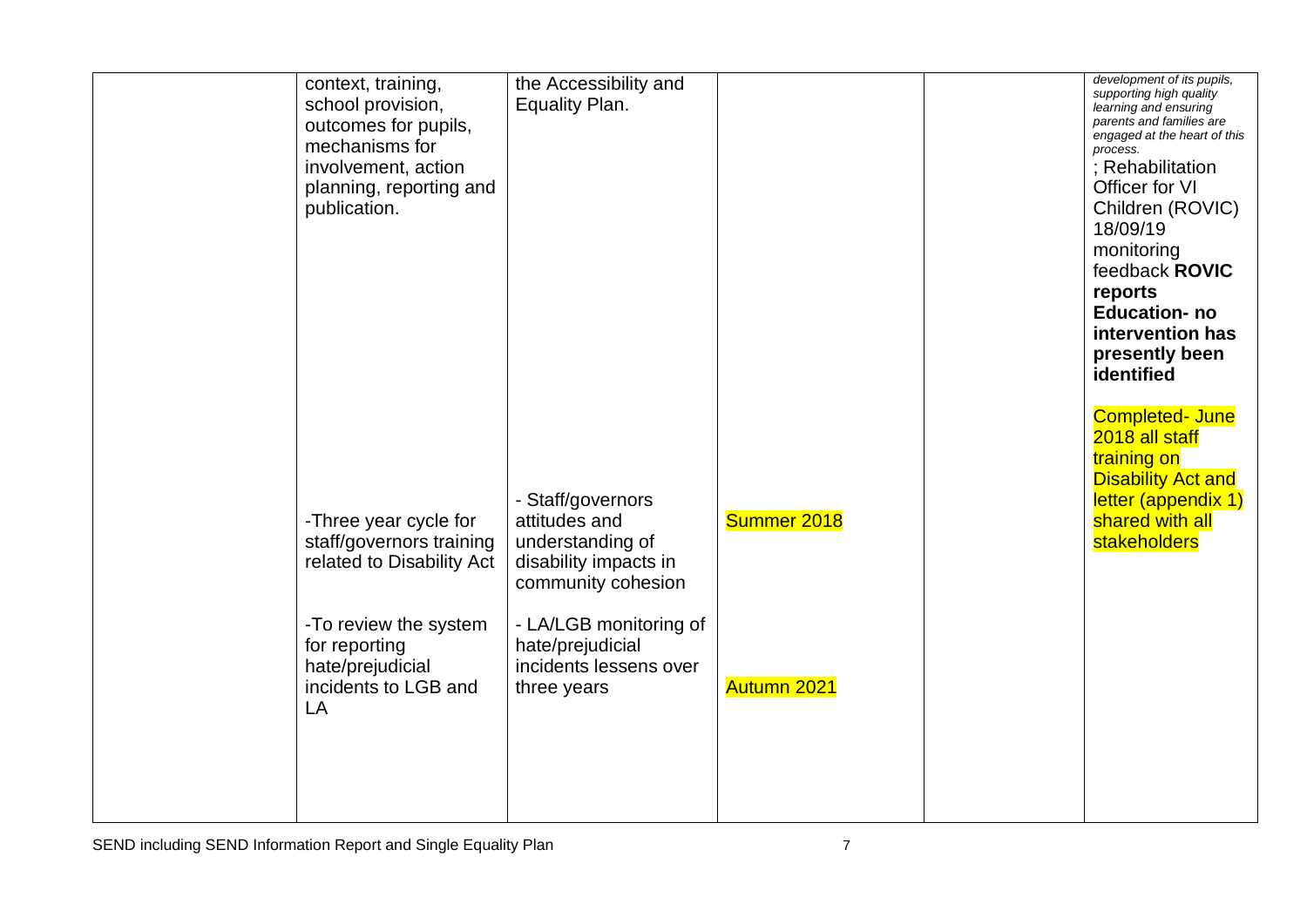| context, training,<br>school provision,<br>outcomes for pupils,<br>mechanisms for<br>involvement, action<br>planning, reporting and<br>publication. | the Accessibility and<br>Equality Plan.                                                               |             | development of its pupils,<br>supporting high quality<br>learning and ensuring<br>parents and families are<br>engaged at the heart of this<br>process.<br>; Rehabilitation<br>Officer for VI<br>Children (ROVIC)<br>18/09/19<br>monitoring<br>feedback ROVIC<br>reports<br><b>Education-no</b><br>intervention has<br>presently been<br>identified<br><b>Completed- June</b><br>2018 all staff |
|-----------------------------------------------------------------------------------------------------------------------------------------------------|-------------------------------------------------------------------------------------------------------|-------------|------------------------------------------------------------------------------------------------------------------------------------------------------------------------------------------------------------------------------------------------------------------------------------------------------------------------------------------------------------------------------------------------|
| -Three year cycle for<br>staff/governors training<br>related to Disability Act                                                                      | - Staff/governors<br>attitudes and<br>understanding of<br>disability impacts in<br>community cohesion | Summer 2018 | training on<br><b>Disability Act and</b><br>letter (appendix 1)<br>shared with all<br>stakeholders                                                                                                                                                                                                                                                                                             |
| -To review the system<br>for reporting<br>hate/prejudicial<br>incidents to LGB and<br>LA                                                            | - LA/LGB monitoring of<br>hate/prejudicial<br>incidents lessens over<br>three years                   | Autumn 2021 |                                                                                                                                                                                                                                                                                                                                                                                                |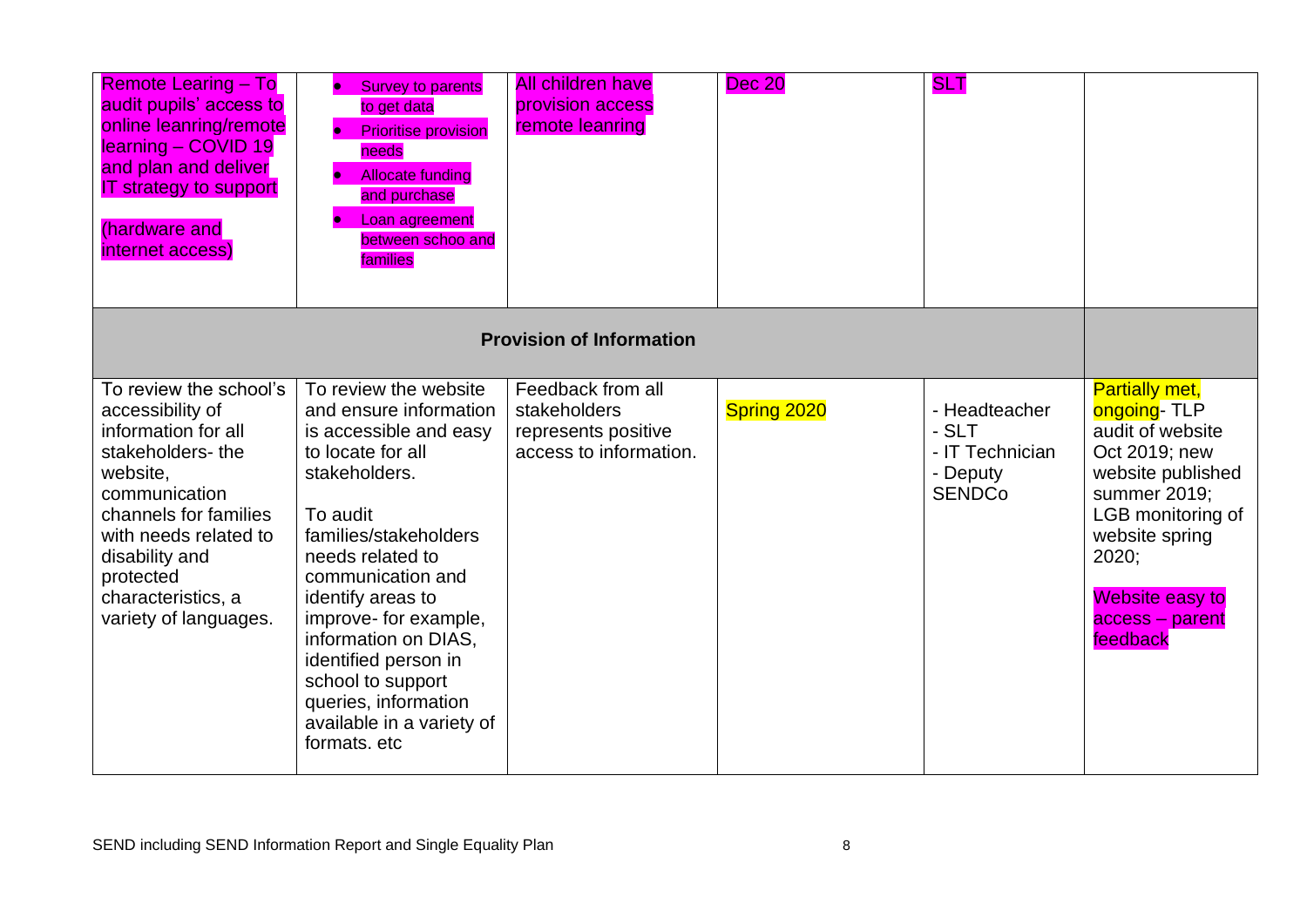| <b>Remote Learing - To</b><br>audit pupils' access to<br>online leanring/remote<br>learning - COVID 19<br>and plan and deliver<br><b>IT strategy to support</b><br>(hardware and<br>internet access)                                               | <b>Survey to parents</b><br>to get data<br><b>Prioritise provision</b><br>needs<br><b>Allocate funding</b><br>and purchase<br>Loan agreement<br>between schoo and<br>families                                                                                                                                                                                                         | <b>All children have</b><br>provision access<br>remote leanring                    | <b>Dec 20</b> | <b>SLT</b>                                                             |                                                                                                                                                                                                                  |
|----------------------------------------------------------------------------------------------------------------------------------------------------------------------------------------------------------------------------------------------------|---------------------------------------------------------------------------------------------------------------------------------------------------------------------------------------------------------------------------------------------------------------------------------------------------------------------------------------------------------------------------------------|------------------------------------------------------------------------------------|---------------|------------------------------------------------------------------------|------------------------------------------------------------------------------------------------------------------------------------------------------------------------------------------------------------------|
|                                                                                                                                                                                                                                                    |                                                                                                                                                                                                                                                                                                                                                                                       | <b>Provision of Information</b>                                                    |               |                                                                        |                                                                                                                                                                                                                  |
| To review the school's<br>accessibility of<br>information for all<br>stakeholders-the<br>website,<br>communication<br>channels for families<br>with needs related to<br>disability and<br>protected<br>characteristics, a<br>variety of languages. | To review the website<br>and ensure information<br>is accessible and easy<br>to locate for all<br>stakeholders.<br>To audit<br>families/stakeholders<br>needs related to<br>communication and<br>identify areas to<br>improve- for example,<br>information on DIAS,<br>identified person in<br>school to support<br>queries, information<br>available in a variety of<br>formats. etc | Feedback from all<br>stakeholders<br>represents positive<br>access to information. | Spring 2020   | - Headteacher<br>- SLT<br>- IT Technician<br>- Deputy<br><b>SENDCo</b> | <b>Partially met,</b><br>ongoing-TLP<br>audit of website<br>Oct 2019; new<br>website published<br>summer 2019;<br>LGB monitoring of<br>website spring<br>2020;<br>Website easy to<br>access - parent<br>feedback |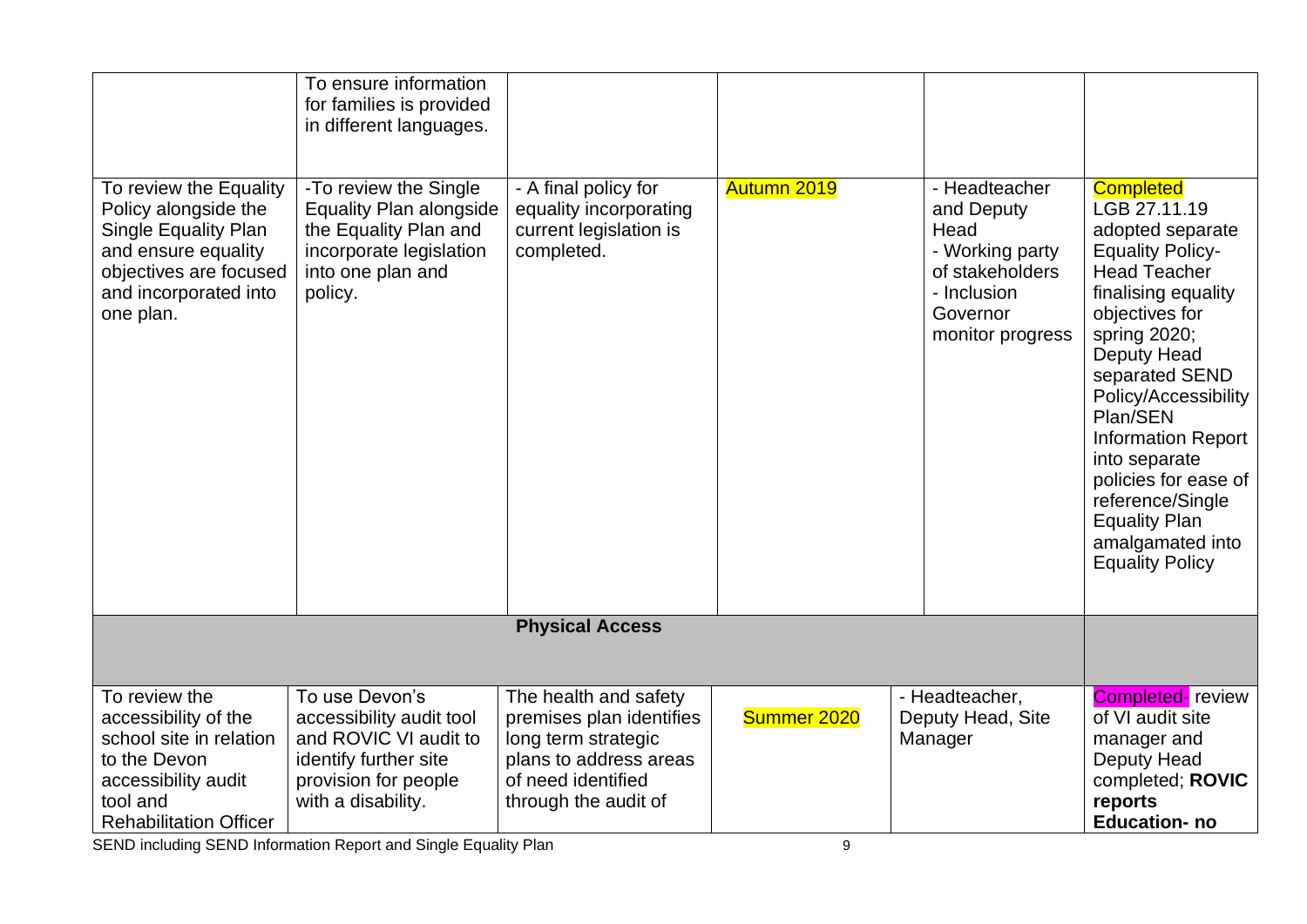| To review the Equality<br>Policy alongside the<br><b>Single Equality Plan</b><br>and ensure equality<br>objectives are focused<br>and incorporated into<br>one plan. | To ensure information<br>for families is provided<br>in different languages.<br>-To review the Single<br><b>Equality Plan alongside</b><br>the Equality Plan and<br>incorporate legislation<br>into one plan and<br>policy. | - A final policy for<br>equality incorporating<br>current legislation is<br>completed. | Autumn 2019 | - Headteacher<br>and Deputy<br>Head<br>- Working party<br>of stakeholders<br>- Inclusion<br>Governor<br>monitor progress | <b>Completed</b><br>LGB 27.11.19<br>adopted separate<br><b>Equality Policy-</b><br><b>Head Teacher</b><br>finalising equality<br>objectives for<br>spring 2020;<br>Deputy Head<br>separated SEND<br>Policy/Accessibility<br>Plan/SEN<br><b>Information Report</b><br>into separate<br>policies for ease of<br>reference/Single<br><b>Equality Plan</b><br>amalgamated into<br><b>Equality Policy</b> |
|----------------------------------------------------------------------------------------------------------------------------------------------------------------------|-----------------------------------------------------------------------------------------------------------------------------------------------------------------------------------------------------------------------------|----------------------------------------------------------------------------------------|-------------|--------------------------------------------------------------------------------------------------------------------------|------------------------------------------------------------------------------------------------------------------------------------------------------------------------------------------------------------------------------------------------------------------------------------------------------------------------------------------------------------------------------------------------------|
|                                                                                                                                                                      |                                                                                                                                                                                                                             | <b>Physical Access</b>                                                                 |             |                                                                                                                          |                                                                                                                                                                                                                                                                                                                                                                                                      |
|                                                                                                                                                                      |                                                                                                                                                                                                                             |                                                                                        |             |                                                                                                                          |                                                                                                                                                                                                                                                                                                                                                                                                      |
| To review the<br>accessibility of the                                                                                                                                | To use Devon's<br>accessibility audit tool                                                                                                                                                                                  | The health and safety<br>premises plan identifies                                      | Summer 2020 | - Headteacher.<br>Deputy Head, Site                                                                                      | <b>Completed-</b> review<br>of VI audit site                                                                                                                                                                                                                                                                                                                                                         |
| school site in relation                                                                                                                                              | and ROVIC VI audit to                                                                                                                                                                                                       | long term strategic                                                                    |             | Manager                                                                                                                  | manager and                                                                                                                                                                                                                                                                                                                                                                                          |
| to the Devon                                                                                                                                                         | identify further site                                                                                                                                                                                                       | plans to address areas                                                                 |             |                                                                                                                          | Deputy Head                                                                                                                                                                                                                                                                                                                                                                                          |
| accessibility audit                                                                                                                                                  | provision for people                                                                                                                                                                                                        | of need identified                                                                     |             |                                                                                                                          | completed; ROVIC                                                                                                                                                                                                                                                                                                                                                                                     |
| tool and                                                                                                                                                             | with a disability.                                                                                                                                                                                                          | through the audit of                                                                   |             |                                                                                                                          | reports                                                                                                                                                                                                                                                                                                                                                                                              |
| <b>Rehabilitation Officer</b>                                                                                                                                        |                                                                                                                                                                                                                             |                                                                                        |             |                                                                                                                          | <b>Education-no</b>                                                                                                                                                                                                                                                                                                                                                                                  |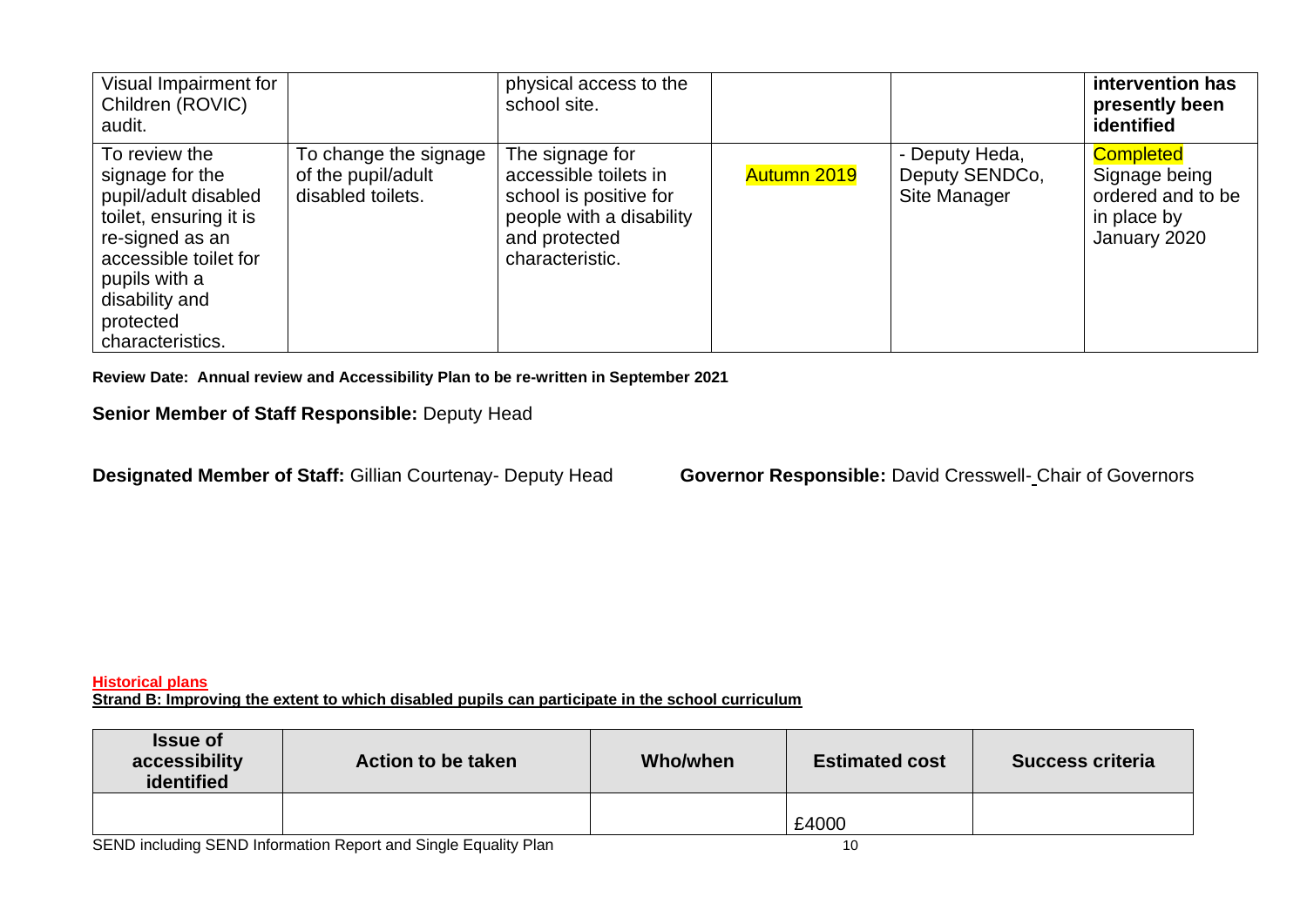| Visual Impairment for<br>Children (ROVIC)<br>audit.                                                                                                                                                |                                                                  | physical access to the<br>school site.                                                                                             |             |                                                  | intervention has<br>presently been<br>identified                                      |
|----------------------------------------------------------------------------------------------------------------------------------------------------------------------------------------------------|------------------------------------------------------------------|------------------------------------------------------------------------------------------------------------------------------------|-------------|--------------------------------------------------|---------------------------------------------------------------------------------------|
| To review the<br>signage for the<br>pupil/adult disabled<br>toilet, ensuring it is<br>re-signed as an<br>accessible toilet for<br>pupils with a<br>disability and<br>protected<br>characteristics. | To change the signage<br>of the pupil/adult<br>disabled toilets. | The signage for<br>accessible toilets in<br>school is positive for<br>people with a disability<br>and protected<br>characteristic. | Autumn 2019 | - Deputy Heda,<br>Deputy SENDCo,<br>Site Manager | <b>Completed</b><br>Signage being<br>ordered and to be<br>in place by<br>January 2020 |

**Review Date: Annual review and Accessibility Plan to be re-written in September 2021**

## **Senior Member of Staff Responsible:** Deputy Head

**Designated Member of Staff:** Gillian Courtenay- Deputy Head **Governor Responsible:** David Cresswell- Chair of Governors

#### **Historical plans**

**Strand B: Improving the extent to which disabled pupils can participate in the school curriculum**

| <b>Issue of</b><br>accessibility<br>identified | <b>Action to be taken</b> | <b>Who/when</b> | <b>Estimated cost</b> | <b>Success criteria</b> |
|------------------------------------------------|---------------------------|-----------------|-----------------------|-------------------------|
|                                                |                           |                 | £4000                 |                         |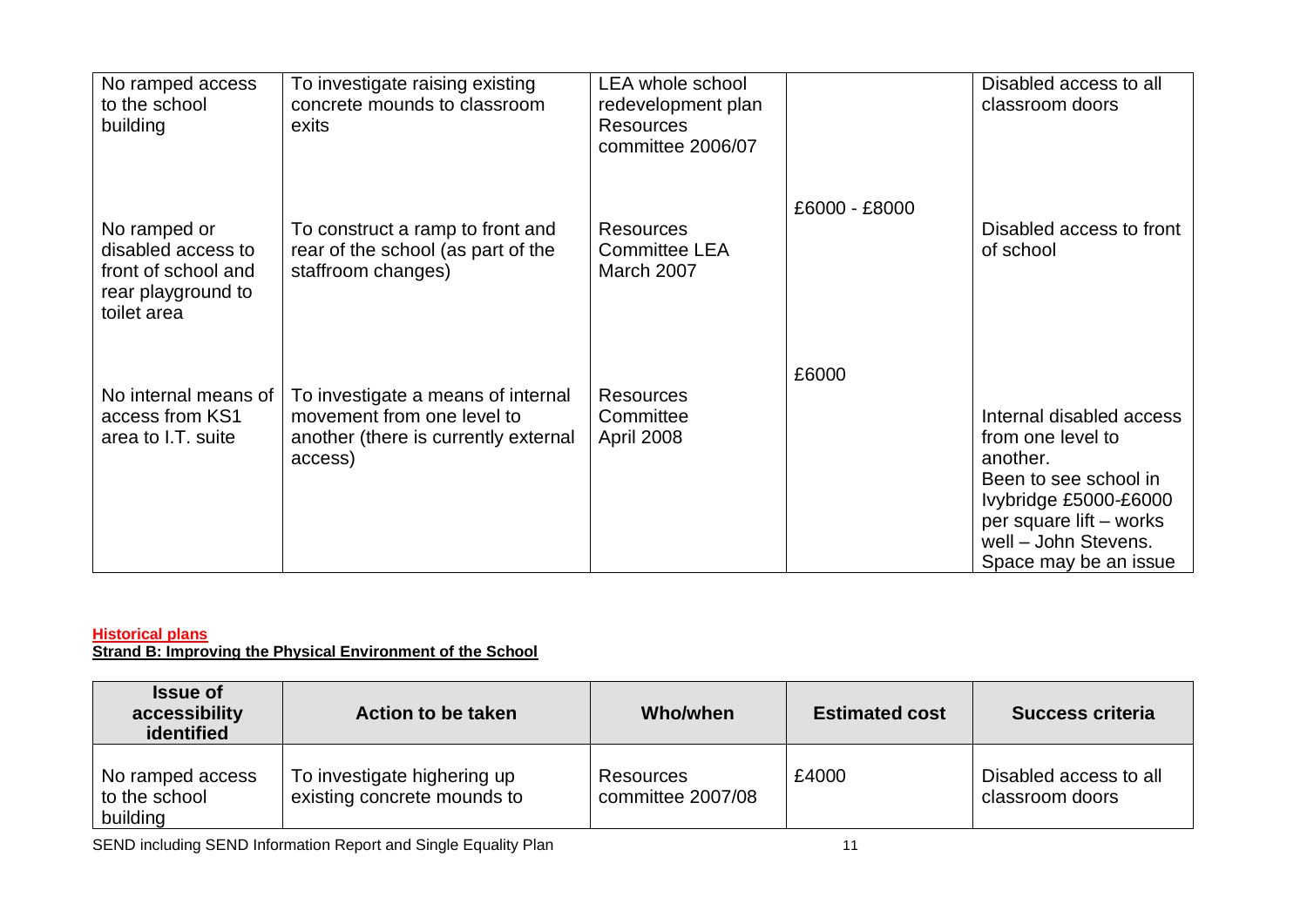| No ramped access<br>to the school<br>building                                                  | To investigate raising existing<br>concrete mounds to classroom<br>exits                                            | <b>LEA whole school</b><br>redevelopment plan<br><b>Resources</b><br>committee 2006/07 |               | Disabled access to all<br>classroom doors                                                                                                                                               |
|------------------------------------------------------------------------------------------------|---------------------------------------------------------------------------------------------------------------------|----------------------------------------------------------------------------------------|---------------|-----------------------------------------------------------------------------------------------------------------------------------------------------------------------------------------|
| No ramped or<br>disabled access to<br>front of school and<br>rear playground to<br>toilet area | To construct a ramp to front and<br>rear of the school (as part of the<br>staffroom changes)                        | <b>Resources</b><br><b>Committee LEA</b><br>March 2007                                 | £6000 - £8000 | Disabled access to front<br>of school                                                                                                                                                   |
| No internal means of<br>access from KS1<br>area to I.T. suite                                  | To investigate a means of internal<br>movement from one level to<br>another (there is currently external<br>access) | <b>Resources</b><br>Committee<br><b>April 2008</b>                                     | £6000         | Internal disabled access<br>from one level to<br>another.<br>Been to see school in<br>Ivybridge £5000-£6000<br>per square lift – works<br>well - John Stevens.<br>Space may be an issue |

#### **Historical plans**

**Strand B: Improving the Physical Environment of the School**

| <b>Issue of</b><br>accessibility<br>identified | Action to be taken                                         | Who/when                       | <b>Estimated cost</b> | <b>Success criteria</b>                   |
|------------------------------------------------|------------------------------------------------------------|--------------------------------|-----------------------|-------------------------------------------|
| No ramped access<br>to the school<br>building  | To investigate highering up<br>existing concrete mounds to | Resources<br>committee 2007/08 | £4000                 | Disabled access to all<br>classroom doors |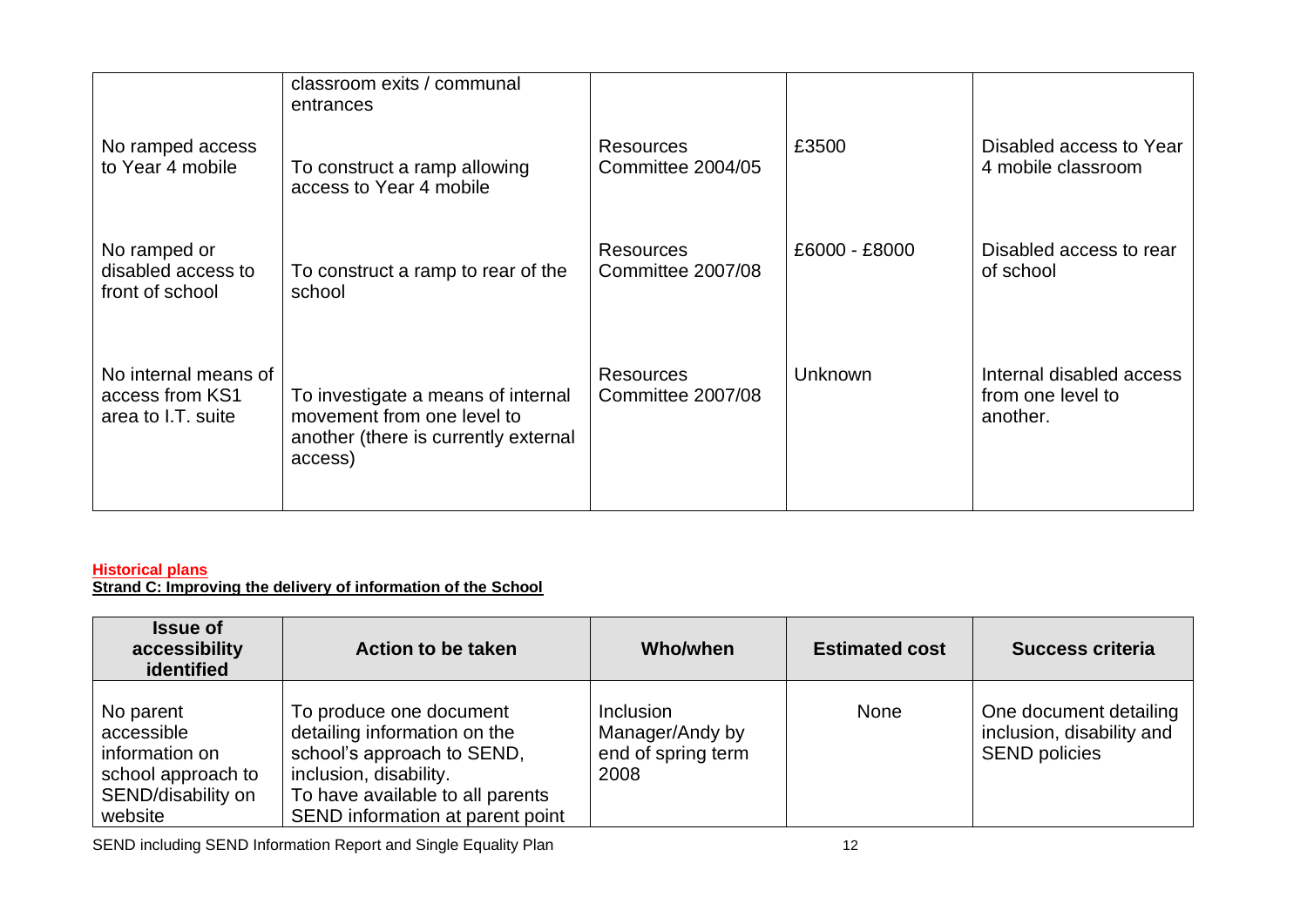|                                                               | classroom exits / communal<br>entrances                                                                             |                                       |                |                                                           |
|---------------------------------------------------------------|---------------------------------------------------------------------------------------------------------------------|---------------------------------------|----------------|-----------------------------------------------------------|
| No ramped access<br>to Year 4 mobile                          | To construct a ramp allowing<br>access to Year 4 mobile                                                             | <b>Resources</b><br>Committee 2004/05 | £3500          | Disabled access to Year<br>4 mobile classroom             |
| No ramped or<br>disabled access to<br>front of school         | To construct a ramp to rear of the<br>school                                                                        | <b>Resources</b><br>Committee 2007/08 | £6000 - £8000  | Disabled access to rear<br>of school                      |
| No internal means of<br>access from KS1<br>area to I.T. suite | To investigate a means of internal<br>movement from one level to<br>another (there is currently external<br>access) | Resources<br>Committee 2007/08        | <b>Unknown</b> | Internal disabled access<br>from one level to<br>another. |

#### **Historical plans Strand C: Improving the delivery of information of the School**

| <b>Issue of</b><br>accessibility<br>identified                                                   | <b>Action to be taken</b>                                                                                                                                                               | Who/when                                                          | <b>Estimated cost</b> | <b>Success criteria</b>                                                     |
|--------------------------------------------------------------------------------------------------|-----------------------------------------------------------------------------------------------------------------------------------------------------------------------------------------|-------------------------------------------------------------------|-----------------------|-----------------------------------------------------------------------------|
| No parent<br>accessible<br>information on<br>school approach to<br>SEND/disability on<br>website | To produce one document<br>detailing information on the<br>school's approach to SEND,<br>inclusion, disability.<br>To have available to all parents<br>SEND information at parent point | <b>Inclusion</b><br>Manager/Andy by<br>end of spring term<br>2008 | None                  | One document detailing<br>inclusion, disability and<br><b>SEND policies</b> |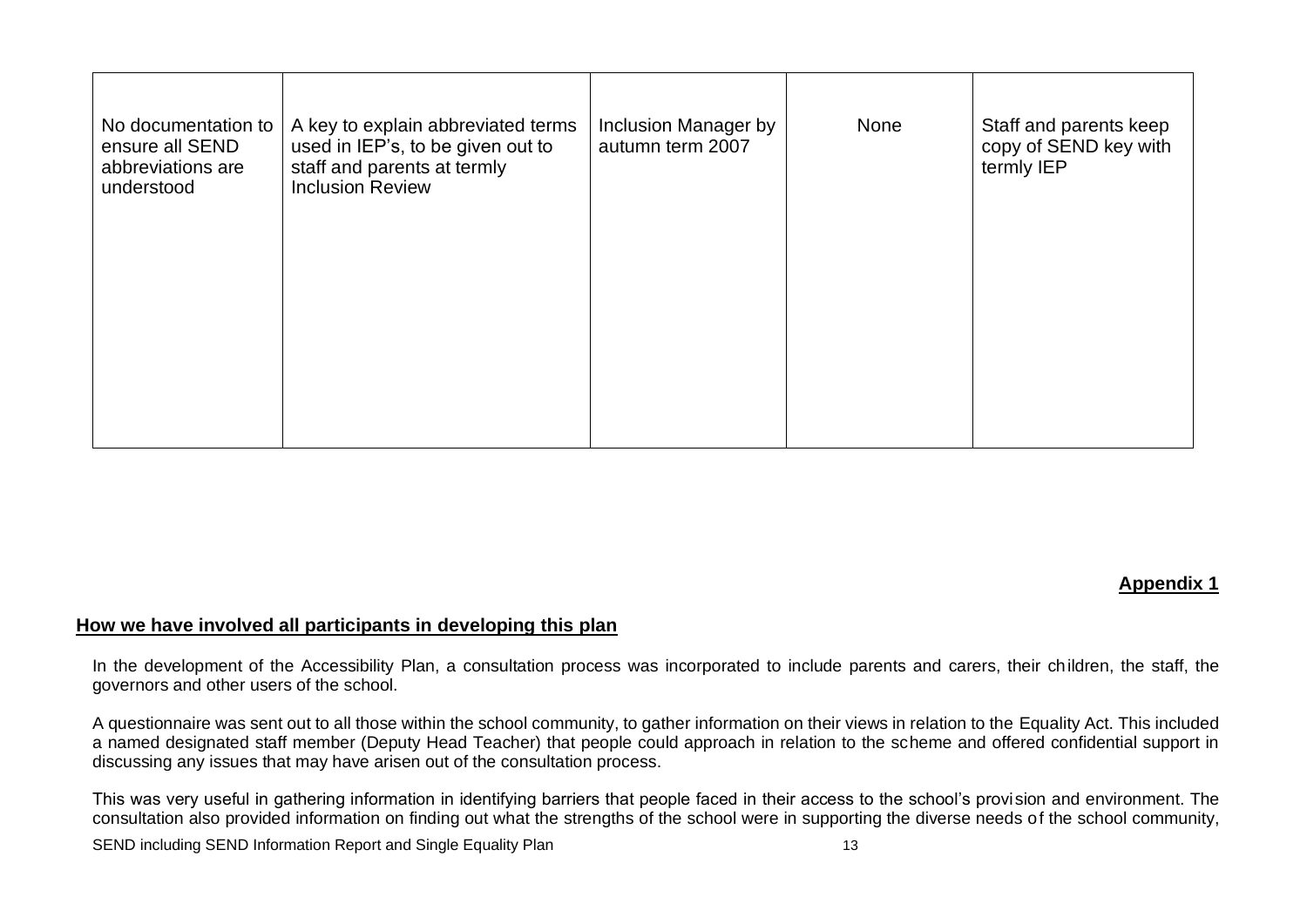| No documentation to<br>ensure all SEND<br>abbreviations are<br>understood | A key to explain abbreviated terms<br>used in IEP's, to be given out to<br>staff and parents at termly<br><b>Inclusion Review</b> | Inclusion Manager by<br>autumn term 2007 | None | Staff and parents keep<br>copy of SEND key with<br>termly IEP |
|---------------------------------------------------------------------------|-----------------------------------------------------------------------------------------------------------------------------------|------------------------------------------|------|---------------------------------------------------------------|
|                                                                           |                                                                                                                                   |                                          |      |                                                               |
|                                                                           |                                                                                                                                   |                                          |      |                                                               |

#### **Appendix 1**

## **How we have involved all participants in developing this plan**

In the development of the Accessibility Plan, a consultation process was incorporated to include parents and carers, their children, the staff, the governors and other users of the school.

A questionnaire was sent out to all those within the school community, to gather information on their views in relation to the Equality Act. This included a named designated staff member (Deputy Head Teacher) that people could approach in relation to the scheme and offered confidential support in discussing any issues that may have arisen out of the consultation process.

This was very useful in gathering information in identifying barriers that people faced in their access to the school's provision and environment. The consultation also provided information on finding out what the strengths of the school were in supporting the diverse needs of the school community,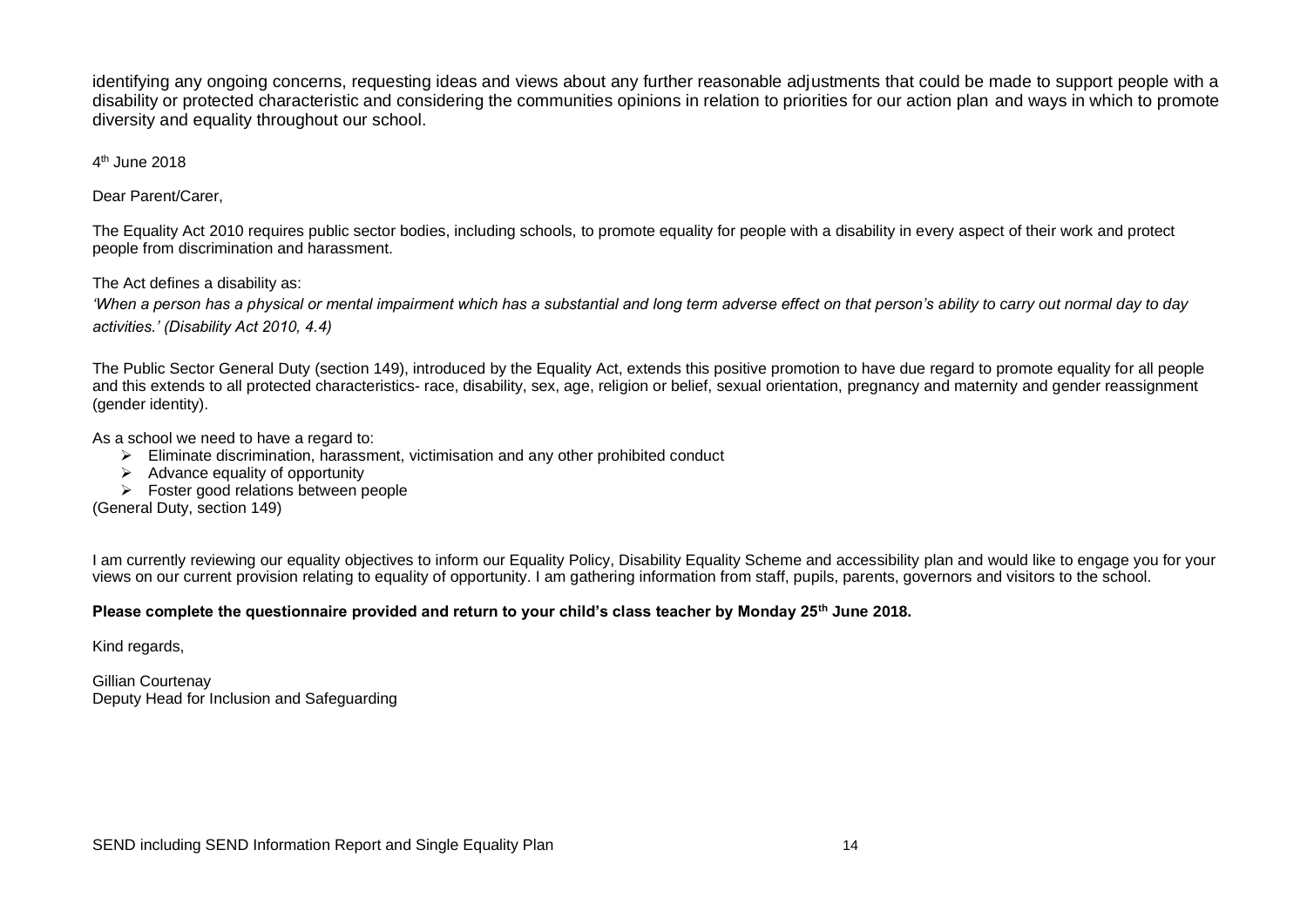identifying any ongoing concerns, requesting ideas and views about any further reasonable adjustments that could be made to support people with a disability or protected characteristic and considering the communities opinions in relation to priorities for our action plan and ways in which to promote diversity and equality throughout our school.

4<sup>th</sup> June 2018

Dear Parent/Carer,

The Equality Act 2010 requires public sector bodies, including schools, to promote equality for people with a disability in every aspect of their work and protect people from discrimination and harassment.

The Act defines a disability as:

*'When a person has a physical or mental impairment which has a substantial and long term adverse effect on that person's ability to carry out normal day to day activities.' (Disability Act 2010, 4.4)*

The Public Sector General Duty (section 149), introduced by the Equality Act, extends this positive promotion to have due regard to promote equality for all people and this extends to all protected characteristics- race, disability, sex, age, religion or belief, sexual orientation, pregnancy and maternity and gender reassignment (gender identity).

As a school we need to have a regard to:

- $\triangleright$  Eliminate discrimination, harassment, victimisation and any other prohibited conduct
- $\triangleright$  Advance equality of opportunity
- ➢ Foster good relations between people

(General Duty, section 149)

I am currently reviewing our equality objectives to inform our Equality Policy, Disability Equality Scheme and accessibility plan and would like to engage you for your views on our current provision relating to equality of opportunity. I am gathering information from staff, pupils, parents, governors and visitors to the school.

#### **Please complete the questionnaire provided and return to your child's class teacher by Monday 25th June 2018.**

Kind regards,

Gillian Courtenay Deputy Head for Inclusion and Safeguarding